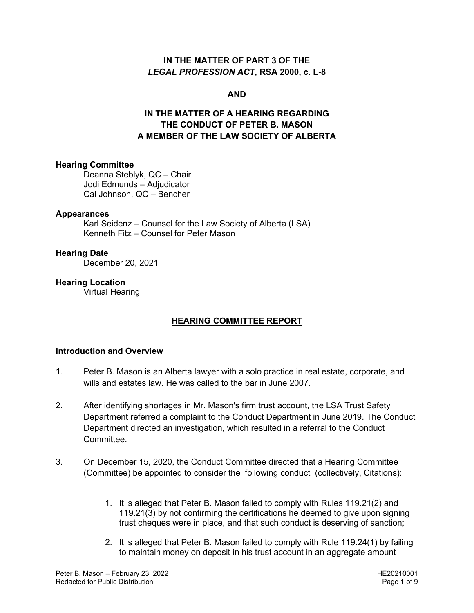### **IN THE MATTER OF PART 3 OF THE**  *LEGAL PROFESSION ACT***, RSA 2000, c. L-8**

### **AND**

## **IN THE MATTER OF A HEARING REGARDING THE CONDUCT OF PETER B. MASON A MEMBER OF THE LAW SOCIETY OF ALBERTA**

#### **Hearing Committee**

Deanna Steblyk, QC – Chair Jodi Edmunds – Adjudicator Cal Johnson, QC – Bencher

#### **Appearances**

Karl Seidenz – Counsel for the Law Society of Alberta (LSA) Kenneth Fitz – Counsel for Peter Mason

#### **Hearing Date**

December 20, 2021

### **Hearing Location**

Virtual Hearing

### **HEARING COMMITTEE REPORT**

### **Introduction and Overview**

- 1. Peter B. Mason is an Alberta lawyer with a solo practice in real estate, corporate, and wills and estates law. He was called to the bar in June 2007.
- 2. After identifying shortages in Mr. Mason's firm trust account, the LSA Trust Safety Department referred a complaint to the Conduct Department in June 2019. The Conduct Department directed an investigation, which resulted in a referral to the Conduct Committee.
- 3. On December 15, 2020, the Conduct Committee directed that a Hearing Committee (Committee) be appointed to consider the following conduct (collectively, Citations):
	- 1. It is alleged that Peter B. Mason failed to comply with Rules 119.21(2) and 119.21(3) by not confirming the certifications he deemed to give upon signing trust cheques were in place, and that such conduct is deserving of sanction;
	- 2. It is alleged that Peter B. Mason failed to comply with Rule 119.24(1) by failing to maintain money on deposit in his trust account in an aggregate amount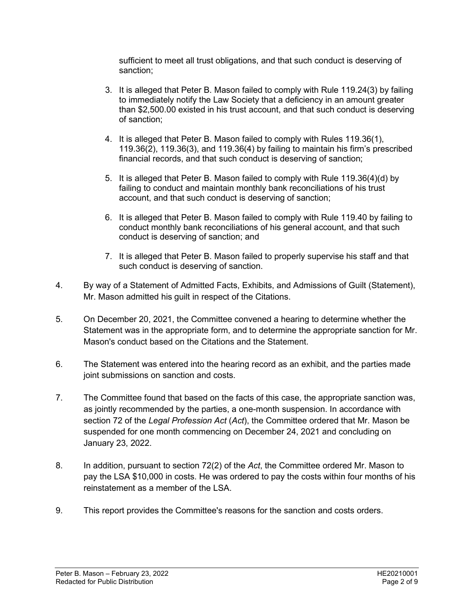sufficient to meet all trust obligations, and that such conduct is deserving of sanction;

- 3. It is alleged that Peter B. Mason failed to comply with Rule 119.24(3) by failing to immediately notify the Law Society that a deficiency in an amount greater than \$2,500.00 existed in his trust account, and that such conduct is deserving of sanction;
- 4. It is alleged that Peter B. Mason failed to comply with Rules 119.36(1), 119.36(2), 119.36(3), and 119.36(4) by failing to maintain his firm's prescribed financial records, and that such conduct is deserving of sanction;
- 5. It is alleged that Peter B. Mason failed to comply with Rule 119.36(4)(d) by failing to conduct and maintain monthly bank reconciliations of his trust account, and that such conduct is deserving of sanction;
- 6. It is alleged that Peter B. Mason failed to comply with Rule 119.40 by failing to conduct monthly bank reconciliations of his general account, and that such conduct is deserving of sanction; and
- 7. It is alleged that Peter B. Mason failed to properly supervise his staff and that such conduct is deserving of sanction.
- 4. By way of a Statement of Admitted Facts, Exhibits, and Admissions of Guilt (Statement), Mr. Mason admitted his guilt in respect of the Citations.
- 5. On December 20, 2021, the Committee convened a hearing to determine whether the Statement was in the appropriate form, and to determine the appropriate sanction for Mr. Mason's conduct based on the Citations and the Statement.
- 6. The Statement was entered into the hearing record as an exhibit, and the parties made joint submissions on sanction and costs.
- 7. The Committee found that based on the facts of this case, the appropriate sanction was, as jointly recommended by the parties, a one-month suspension. In accordance with section 72 of the *Legal Profession Act* (*Act*), the Committee ordered that Mr. Mason be suspended for one month commencing on December 24, 2021 and concluding on January 23, 2022.
- 8. In addition, pursuant to section 72(2) of the *Act*, the Committee ordered Mr. Mason to pay the LSA \$10,000 in costs. He was ordered to pay the costs within four months of his reinstatement as a member of the LSA.
- 9. This report provides the Committee's reasons for the sanction and costs orders.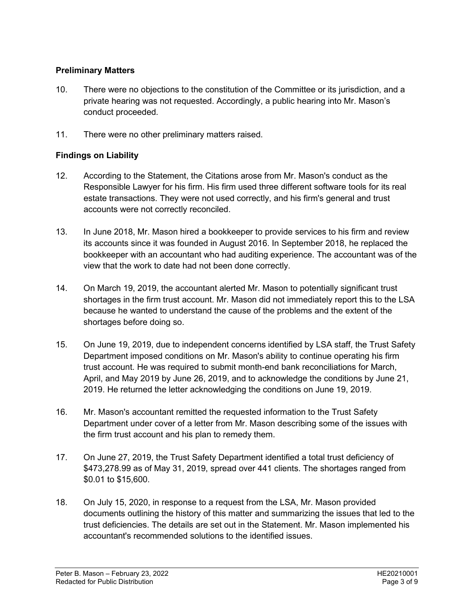### **Preliminary Matters**

- 10. There were no objections to the constitution of the Committee or its jurisdiction, and a private hearing was not requested. Accordingly, a public hearing into Mr. Mason's conduct proceeded.
- 11. There were no other preliminary matters raised.

### **Findings on Liability**

- 12. According to the Statement, the Citations arose from Mr. Mason's conduct as the Responsible Lawyer for his firm. His firm used three different software tools for its real estate transactions. They were not used correctly, and his firm's general and trust accounts were not correctly reconciled.
- 13. In June 2018, Mr. Mason hired a bookkeeper to provide services to his firm and review its accounts since it was founded in August 2016. In September 2018, he replaced the bookkeeper with an accountant who had auditing experience. The accountant was of the view that the work to date had not been done correctly.
- 14. On March 19, 2019, the accountant alerted Mr. Mason to potentially significant trust shortages in the firm trust account. Mr. Mason did not immediately report this to the LSA because he wanted to understand the cause of the problems and the extent of the shortages before doing so.
- 15. On June 19, 2019, due to independent concerns identified by LSA staff, the Trust Safety Department imposed conditions on Mr. Mason's ability to continue operating his firm trust account. He was required to submit month-end bank reconciliations for March, April, and May 2019 by June 26, 2019, and to acknowledge the conditions by June 21, 2019. He returned the letter acknowledging the conditions on June 19, 2019.
- 16. Mr. Mason's accountant remitted the requested information to the Trust Safety Department under cover of a letter from Mr. Mason describing some of the issues with the firm trust account and his plan to remedy them.
- 17. On June 27, 2019, the Trust Safety Department identified a total trust deficiency of \$473,278.99 as of May 31, 2019, spread over 441 clients. The shortages ranged from \$0.01 to \$15,600.
- 18. On July 15, 2020, in response to a request from the LSA, Mr. Mason provided documents outlining the history of this matter and summarizing the issues that led to the trust deficiencies. The details are set out in the Statement. Mr. Mason implemented his accountant's recommended solutions to the identified issues.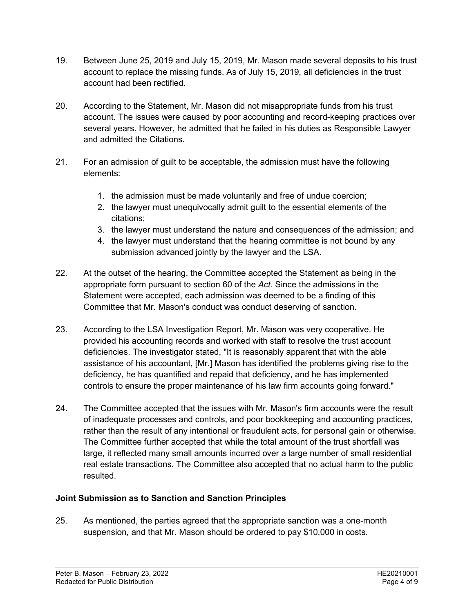- 19. Between June 25, 2019 and July 15, 2019, Mr. Mason made several deposits to his trust account to replace the missing funds. As of July 15, 2019, all deficiencies in the trust account had been rectified.
- 20. According to the Statement, Mr. Mason did not misappropriate funds from his trust account. The issues were caused by poor accounting and record-keeping practices over several years. However, he admitted that he failed in his duties as Responsible Lawyer and admitted the Citations.
- 21. For an admission of guilt to be acceptable, the admission must have the following elements:
	- 1. the admission must be made voluntarily and free of undue coercion;
	- 2. the lawyer must unequivocally admit guilt to the essential elements of the citations;
	- 3. the lawyer must understand the nature and consequences of the admission; and
	- 4. the lawyer must understand that the hearing committee is not bound by any submission advanced jointly by the lawyer and the LSA.
- 22. At the outset of the hearing, the Committee accepted the Statement as being in the appropriate form pursuant to section 60 of the *Act*. Since the admissions in the Statement were accepted, each admission was deemed to be a finding of this Committee that Mr. Mason's conduct was conduct deserving of sanction.
- 23. According to the LSA Investigation Report, Mr. Mason was very cooperative. He provided his accounting records and worked with staff to resolve the trust account deficiencies. The investigator stated, "It is reasonably apparent that with the able assistance of his accountant, [Mr.] Mason has identified the problems giving rise to the deficiency, he has quantified and repaid that deficiency, and he has implemented controls to ensure the proper maintenance of his law firm accounts going forward."
- 24. The Committee accepted that the issues with Mr. Mason's firm accounts were the result of inadequate processes and controls, and poor bookkeeping and accounting practices, rather than the result of any intentional or fraudulent acts, for personal gain or otherwise. The Committee further accepted that while the total amount of the trust shortfall was large, it reflected many small amounts incurred over a large number of small residential real estate transactions. The Committee also accepted that no actual harm to the public resulted.

# **Joint Submission as to Sanction and Sanction Principles**

25. As mentioned, the parties agreed that the appropriate sanction was a one-month suspension, and that Mr. Mason should be ordered to pay \$10,000 in costs.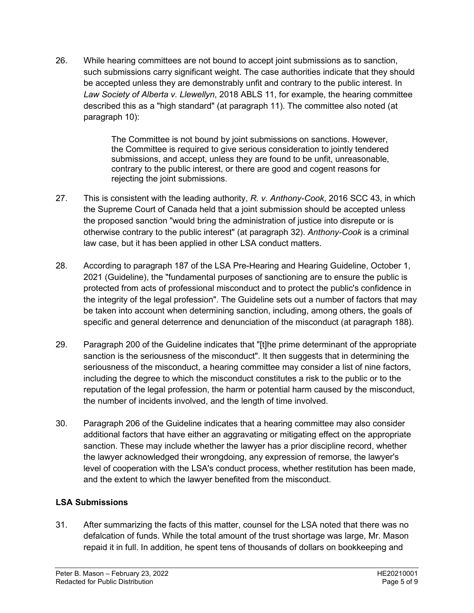26. While hearing committees are not bound to accept joint submissions as to sanction, such submissions carry significant weight. The case authorities indicate that they should be accepted unless they are demonstrably unfit and contrary to the public interest. In *Law Society of Alberta v. Llewellyn*, 2018 ABLS 11, for example, the hearing committee described this as a "high standard" (at paragraph 11). The committee also noted (at paragraph 10):

> The Committee is not bound by joint submissions on sanctions. However, the Committee is required to give serious consideration to jointly tendered submissions, and accept, unless they are found to be unfit, unreasonable, contrary to the public interest, or there are good and cogent reasons for rejecting the joint submissions.

- 27. This is consistent with the leading authority, *R. v. Anthony-Cook*, 2016 SCC 43, in which the Supreme Court of Canada held that a joint submission should be accepted unless the proposed sanction "would bring the administration of justice into disrepute or is otherwise contrary to the public interest" (at paragraph 32). *Anthony-Cook* is a criminal law case, but it has been applied in other LSA conduct matters.
- 28. According to paragraph 187 of the LSA Pre-Hearing and Hearing Guideline, October 1, 2021 (Guideline), the "fundamental purposes of sanctioning are to ensure the public is protected from acts of professional misconduct and to protect the public's confidence in the integrity of the legal profession". The Guideline sets out a number of factors that may be taken into account when determining sanction, including, among others, the goals of specific and general deterrence and denunciation of the misconduct (at paragraph 188).
- 29. Paragraph 200 of the Guideline indicates that "[t]he prime determinant of the appropriate sanction is the seriousness of the misconduct". It then suggests that in determining the seriousness of the misconduct, a hearing committee may consider a list of nine factors, including the degree to which the misconduct constitutes a risk to the public or to the reputation of the legal profession, the harm or potential harm caused by the misconduct, the number of incidents involved, and the length of time involved.
- 30. Paragraph 206 of the Guideline indicates that a hearing committee may also consider additional factors that have either an aggravating or mitigating effect on the appropriate sanction. These may include whether the lawyer has a prior discipline record, whether the lawyer acknowledged their wrongdoing, any expression of remorse, the lawyer's level of cooperation with the LSA's conduct process, whether restitution has been made, and the extent to which the lawyer benefited from the misconduct.

# **LSA Submissions**

31. After summarizing the facts of this matter, counsel for the LSA noted that there was no defalcation of funds. While the total amount of the trust shortage was large, Mr. Mason repaid it in full. In addition, he spent tens of thousands of dollars on bookkeeping and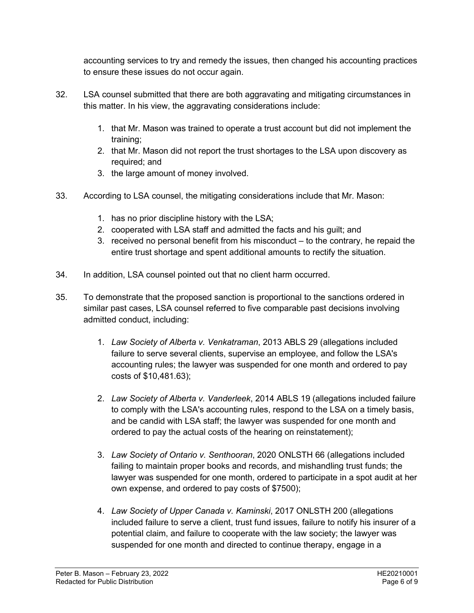accounting services to try and remedy the issues, then changed his accounting practices to ensure these issues do not occur again.

- 32. LSA counsel submitted that there are both aggravating and mitigating circumstances in this matter. In his view, the aggravating considerations include:
	- 1. that Mr. Mason was trained to operate a trust account but did not implement the training;
	- 2. that Mr. Mason did not report the trust shortages to the LSA upon discovery as required; and
	- 3. the large amount of money involved.
- 33. According to LSA counsel, the mitigating considerations include that Mr. Mason:
	- 1. has no prior discipline history with the LSA;
	- 2. cooperated with LSA staff and admitted the facts and his guilt; and
	- 3. received no personal benefit from his misconduct to the contrary, he repaid the entire trust shortage and spent additional amounts to rectify the situation.
- 34. In addition, LSA counsel pointed out that no client harm occurred.
- 35. To demonstrate that the proposed sanction is proportional to the sanctions ordered in similar past cases, LSA counsel referred to five comparable past decisions involving admitted conduct, including:
	- 1. *Law Society of Alberta v. Venkatraman*, 2013 ABLS 29 (allegations included failure to serve several clients, supervise an employee, and follow the LSA's accounting rules; the lawyer was suspended for one month and ordered to pay costs of \$10,481.63);
	- 2. *Law Society of Alberta v. Vanderleek*, 2014 ABLS 19 (allegations included failure to comply with the LSA's accounting rules, respond to the LSA on a timely basis, and be candid with LSA staff; the lawyer was suspended for one month and ordered to pay the actual costs of the hearing on reinstatement);
	- 3. *Law Society of Ontario v. Senthooran*, 2020 ONLSTH 66 (allegations included failing to maintain proper books and records, and mishandling trust funds; the lawyer was suspended for one month, ordered to participate in a spot audit at her own expense, and ordered to pay costs of \$7500);
	- 4. *Law Society of Upper Canada v. Kaminski*, 2017 ONLSTH 200 (allegations included failure to serve a client, trust fund issues, failure to notify his insurer of a potential claim, and failure to cooperate with the law society; the lawyer was suspended for one month and directed to continue therapy, engage in a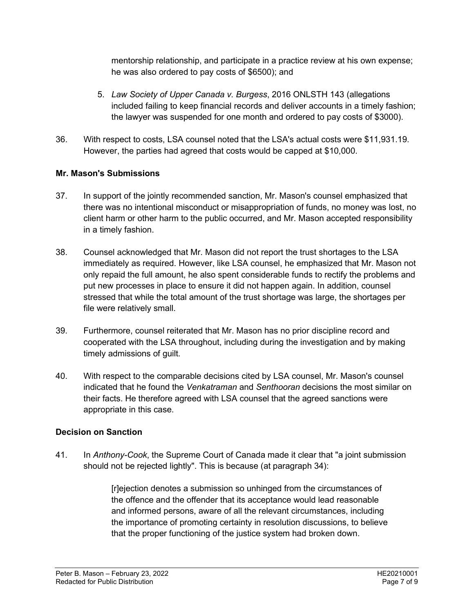mentorship relationship, and participate in a practice review at his own expense; he was also ordered to pay costs of \$6500); and

- 5. *Law Society of Upper Canada v. Burgess*, 2016 ONLSTH 143 (allegations included failing to keep financial records and deliver accounts in a timely fashion; the lawyer was suspended for one month and ordered to pay costs of \$3000).
- 36. With respect to costs, LSA counsel noted that the LSA's actual costs were \$11,931.19. However, the parties had agreed that costs would be capped at \$10,000.

# **Mr. Mason's Submissions**

- 37. In support of the jointly recommended sanction, Mr. Mason's counsel emphasized that there was no intentional misconduct or misappropriation of funds, no money was lost, no client harm or other harm to the public occurred, and Mr. Mason accepted responsibility in a timely fashion.
- 38. Counsel acknowledged that Mr. Mason did not report the trust shortages to the LSA immediately as required. However, like LSA counsel, he emphasized that Mr. Mason not only repaid the full amount, he also spent considerable funds to rectify the problems and put new processes in place to ensure it did not happen again. In addition, counsel stressed that while the total amount of the trust shortage was large, the shortages per file were relatively small.
- 39. Furthermore, counsel reiterated that Mr. Mason has no prior discipline record and cooperated with the LSA throughout, including during the investigation and by making timely admissions of guilt.
- 40. With respect to the comparable decisions cited by LSA counsel, Mr. Mason's counsel indicated that he found the *Venkatraman* and *Senthooran* decisions the most similar on their facts. He therefore agreed with LSA counsel that the agreed sanctions were appropriate in this case.

# **Decision on Sanction**

41. In *Anthony-Cook*, the Supreme Court of Canada made it clear that "a joint submission should not be rejected lightly". This is because (at paragraph 34):

> [r]ejection denotes a submission so unhinged from the circumstances of the offence and the offender that its acceptance would lead reasonable and informed persons, aware of all the relevant circumstances, including the importance of promoting certainty in resolution discussions, to believe that the proper functioning of the justice system had broken down.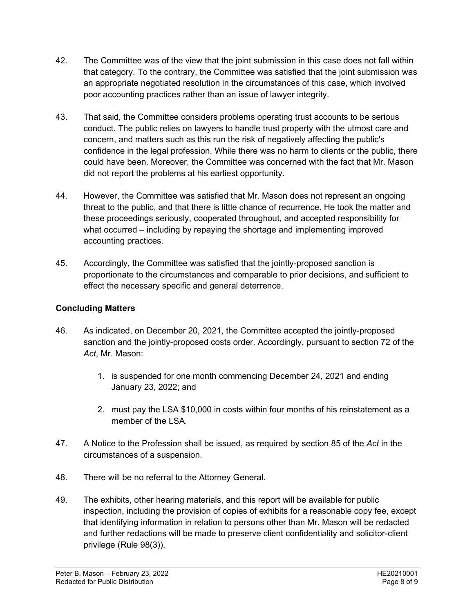- 42. The Committee was of the view that the joint submission in this case does not fall within that category. To the contrary, the Committee was satisfied that the joint submission was an appropriate negotiated resolution in the circumstances of this case, which involved poor accounting practices rather than an issue of lawyer integrity.
- 43. That said, the Committee considers problems operating trust accounts to be serious conduct. The public relies on lawyers to handle trust property with the utmost care and concern, and matters such as this run the risk of negatively affecting the public's confidence in the legal profession. While there was no harm to clients or the public, there could have been. Moreover, the Committee was concerned with the fact that Mr. Mason did not report the problems at his earliest opportunity.
- 44. However, the Committee was satisfied that Mr. Mason does not represent an ongoing threat to the public, and that there is little chance of recurrence. He took the matter and these proceedings seriously, cooperated throughout, and accepted responsibility for what occurred – including by repaying the shortage and implementing improved accounting practices.
- 45. Accordingly, the Committee was satisfied that the jointly-proposed sanction is proportionate to the circumstances and comparable to prior decisions, and sufficient to effect the necessary specific and general deterrence.

# **Concluding Matters**

- 46. As indicated, on December 20, 2021, the Committee accepted the jointly-proposed sanction and the jointly-proposed costs order. Accordingly, pursuant to section 72 of the *Act*, Mr. Mason:
	- 1. is suspended for one month commencing December 24, 2021 and ending January 23, 2022; and
	- 2. must pay the LSA \$10,000 in costs within four months of his reinstatement as a member of the LSA.
- 47. A Notice to the Profession shall be issued, as required by section 85 of the *Act* in the circumstances of a suspension.
- 48. There will be no referral to the Attorney General.
- 49. The exhibits, other hearing materials, and this report will be available for public inspection, including the provision of copies of exhibits for a reasonable copy fee, except that identifying information in relation to persons other than Mr. Mason will be redacted and further redactions will be made to preserve client confidentiality and solicitor-client privilege (Rule 98(3)).